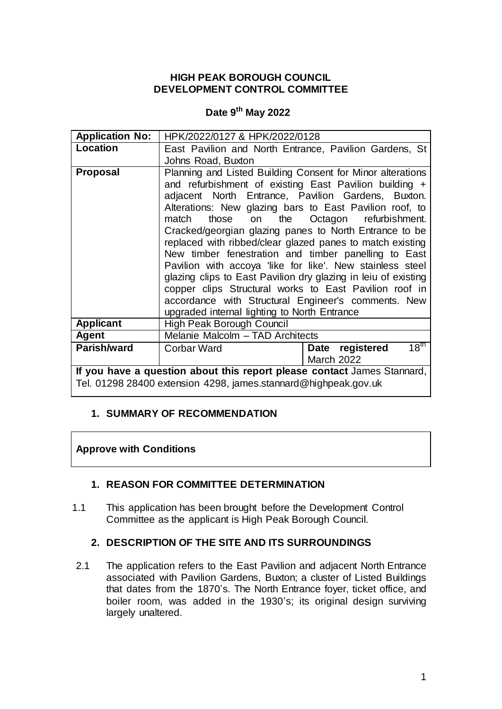### **HIGH PEAK BOROUGH COUNCIL DEVELOPMENT CONTROL COMMITTEE**

# **Date 9 th May 2022**

| <b>Application No:</b>                                                  | HPK/2022/0127 & HPK/2022/0128                                                                                                                                                                                                                                                                                                                                                                                                                                                                                                                                                                                                                                                                                                         |                                        |
|-------------------------------------------------------------------------|---------------------------------------------------------------------------------------------------------------------------------------------------------------------------------------------------------------------------------------------------------------------------------------------------------------------------------------------------------------------------------------------------------------------------------------------------------------------------------------------------------------------------------------------------------------------------------------------------------------------------------------------------------------------------------------------------------------------------------------|----------------------------------------|
| Location                                                                | East Pavilion and North Entrance, Pavilion Gardens, St                                                                                                                                                                                                                                                                                                                                                                                                                                                                                                                                                                                                                                                                                |                                        |
|                                                                         | Johns Road, Buxton                                                                                                                                                                                                                                                                                                                                                                                                                                                                                                                                                                                                                                                                                                                    |                                        |
| <b>Proposal</b>                                                         | Planning and Listed Building Consent for Minor alterations<br>and refurbishment of existing East Pavilion building +<br>adjacent North Entrance, Pavilion Gardens, Buxton.<br>Alterations: New glazing bars to East Pavilion roof, to<br>match<br>those<br>Cracked/georgian glazing panes to North Entrance to be<br>replaced with ribbed/clear glazed panes to match existing<br>New timber fenestration and timber panelling to East<br>Pavilion with accoya like for like'. New stainless steel<br>glazing clips to East Pavilion dry glazing in leiu of existing<br>copper clips Structural works to East Pavilion roof in<br>accordance with Structural Engineer's comments. New<br>upgraded internal lighting to North Entrance | on the Octagon refurbishment.          |
| <b>Applicant</b>                                                        | High Peak Borough Council                                                                                                                                                                                                                                                                                                                                                                                                                                                                                                                                                                                                                                                                                                             |                                        |
| Agent                                                                   | Melanie Malcolm - TAD Architects                                                                                                                                                                                                                                                                                                                                                                                                                                                                                                                                                                                                                                                                                                      |                                        |
| Parish/ward                                                             | <b>Corbar Ward</b>                                                                                                                                                                                                                                                                                                                                                                                                                                                                                                                                                                                                                                                                                                                    | 18 <sup>th</sup><br>registered<br>Date |
|                                                                         |                                                                                                                                                                                                                                                                                                                                                                                                                                                                                                                                                                                                                                                                                                                                       | <b>March 2022</b>                      |
| If you have a question about this report please contact James Stannard, |                                                                                                                                                                                                                                                                                                                                                                                                                                                                                                                                                                                                                                                                                                                                       |                                        |
| Tel. 01298 28400 extension 4298, james.stannard@highpeak.gov.uk         |                                                                                                                                                                                                                                                                                                                                                                                                                                                                                                                                                                                                                                                                                                                                       |                                        |

### **1. SUMMARY OF RECOMMENDATION**

### **Approve with Conditions**

### **1. REASON FOR COMMITTEE DETERMINATION**

1.1 This application has been brought before the Development Control Committee as the applicant is High Peak Borough Council.

# **2. DESCRIPTION OF THE SITE AND ITS SURROUNDINGS**

2.1 The application refers to the East Pavilion and adjacent North Entrance associated with Pavilion Gardens, Buxton; a cluster of Listed Buildings that dates from the 1870's. The North Entrance foyer, ticket office, and boiler room, was added in the 1930's; its original design surviving largely unaltered.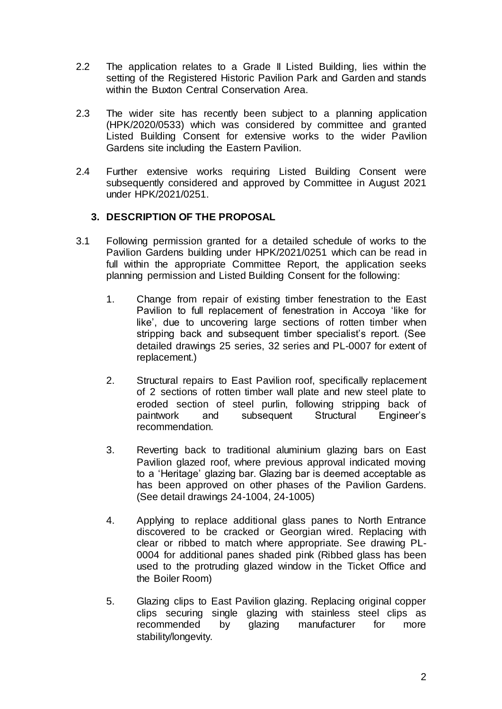- 2.2 The application relates to a Grade II Listed Building, lies within the setting of the Registered Historic Pavilion Park and Garden and stands within the Buxton Central Conservation Area.
- 2.3 The wider site has recently been subject to a planning application (HPK/2020/0533) which was considered by committee and granted Listed Building Consent for extensive works to the wider Pavilion Gardens site including the Eastern Pavilion.
- 2.4 Further extensive works requiring Listed Building Consent were subsequently considered and approved by Committee in August 2021 under HPK/2021/0251.

### **3. DESCRIPTION OF THE PROPOSAL**

- 3.1 Following permission granted for a detailed schedule of works to the Pavilion Gardens building under HPK/2021/0251 which can be read in full within the appropriate Committee Report, the application seeks planning permission and Listed Building Consent for the following:
	- 1. Change from repair of existing timber fenestration to the East Pavilion to full replacement of fenestration in Accoya 'like for like', due to uncovering large sections of rotten timber when stripping back and subsequent timber specialist's report. (See detailed drawings 25 series, 32 series and PL-0007 for extent of replacement.)
	- 2. Structural repairs to East Pavilion roof, specifically replacement of 2 sections of rotten timber wall plate and new steel plate to eroded section of steel purlin, following stripping back of paintwork and subsequent Structural Engineer's recommendation.
	- 3. Reverting back to traditional aluminium glazing bars on East Pavilion glazed roof, where previous approval indicated moving to a 'Heritage' glazing bar. Glazing bar is deemed acceptable as has been approved on other phases of the Pavilion Gardens. (See detail drawings 24-1004, 24-1005)
	- 4. Applying to replace additional glass panes to North Entrance discovered to be cracked or Georgian wired. Replacing with clear or ribbed to match where appropriate. See drawing PL-0004 for additional panes shaded pink (Ribbed glass has been used to the protruding glazed window in the Ticket Office and the Boiler Room)
	- 5. Glazing clips to East Pavilion glazing. Replacing original copper clips securing single glazing with stainless steel clips as recommended by glazing manufacturer for more stability/longevity.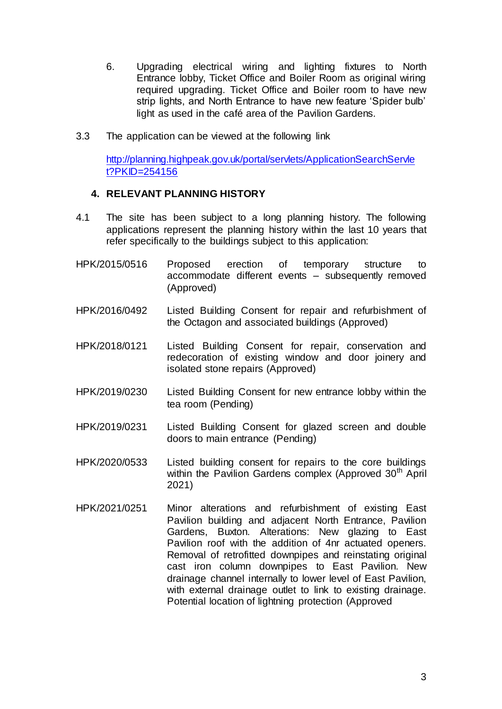- 6. Upgrading electrical wiring and lighting fixtures to North Entrance lobby, Ticket Office and Boiler Room as original wiring required upgrading. Ticket Office and Boiler room to have new strip lights, and North Entrance to have new feature 'Spider bulb' light as used in the café area of the Pavilion Gardens.
- 3.3 The application can be viewed at the following link

[http://planning.highpeak.gov.uk/portal/servlets/ApplicationSearchServle](http://planning.highpeak.gov.uk/portal/servlets/ApplicationSearchServlet?PKID=254156) [t?PKID=254156](http://planning.highpeak.gov.uk/portal/servlets/ApplicationSearchServlet?PKID=254156)

### **4. RELEVANT PLANNING HISTORY**

- 4.1 The site has been subject to a long planning history. The following applications represent the planning history within the last 10 years that refer specifically to the buildings subject to this application:
- HPK/2015/0516 Proposed erection of temporary structure to accommodate different events – subsequently removed (Approved)
- HPK/2016/0492 Listed Building Consent for repair and refurbishment of the Octagon and associated buildings (Approved)
- HPK/2018/0121 Listed Building Consent for repair, conservation and redecoration of existing window and door joinery and isolated stone repairs (Approved)
- HPK/2019/0230 Listed Building Consent for new entrance lobby within the tea room (Pending)
- HPK/2019/0231 Listed Building Consent for glazed screen and double doors to main entrance (Pending)
- HPK/2020/0533 Listed building consent for repairs to the core buildings within the Pavilion Gardens complex (Approved 30<sup>th</sup> April 2021)
- HPK/2021/0251 Minor alterations and refurbishment of existing East Pavilion building and adjacent North Entrance, Pavilion Gardens, Buxton. Alterations: New glazing to East Pavilion roof with the addition of 4nr actuated openers. Removal of retrofitted downpipes and reinstating original cast iron column downpipes to East Pavilion. New drainage channel internally to lower level of East Pavilion, with external drainage outlet to link to existing drainage. Potential location of lightning protection (Approved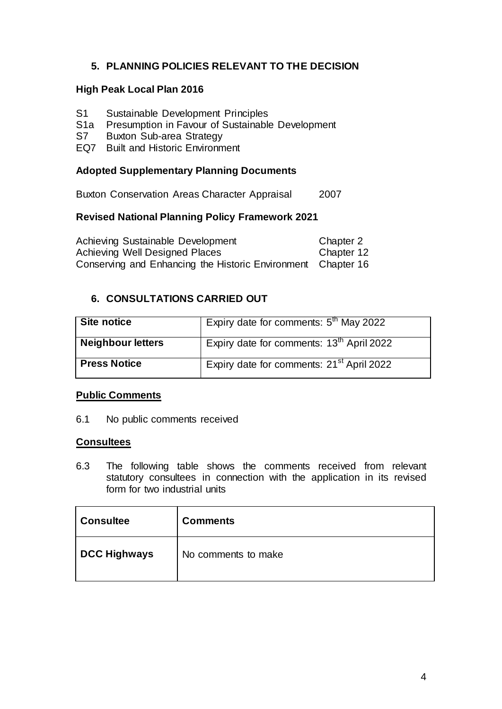# **5. PLANNING POLICIES RELEVANT TO THE DECISION**

### **High Peak Local Plan 2016**

- S1 Sustainable Development Principles<br>S1a Presumption in Favour of Sustainable
- Presumption in Favour of Sustainable Development
- S7 Buxton Sub-area Strategy
- EQ7 Built and Historic Environment

#### **Adopted Supplementary Planning Documents**

Buxton Conservation Areas Character Appraisal 2007

# **Revised National Planning Policy Framework 2021**

Achieving Sustainable Development Chapter 2 Achieving Well Designed Places Chapter 12 Conserving and Enhancing the Historic Environment Chapter 16

### **6. CONSULTATIONS CARRIED OUT**

| Site notice              | Expiry date for comments: $5th$ May 2022              |
|--------------------------|-------------------------------------------------------|
| <b>Neighbour letters</b> | Expiry date for comments: 13 <sup>th</sup> April 2022 |
| <b>Press Notice</b>      | Expiry date for comments: 21 <sup>st</sup> April 2022 |

#### **Public Comments**

6.1 No public comments received

#### **Consultees**

6.3 The following table shows the comments received from relevant statutory consultees in connection with the application in its revised form for two industrial units

| <b>Consultee</b>    | <b>Comments</b>     |
|---------------------|---------------------|
| <b>DCC Highways</b> | No comments to make |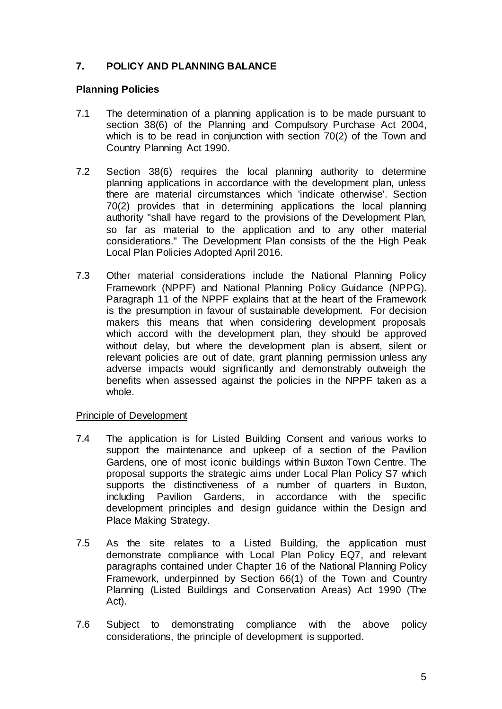# **7. POLICY AND PLANNING BALANCE**

#### **Planning Policies**

- 7.1 The determination of a planning application is to be made pursuant to section 38(6) of the Planning and Compulsory Purchase Act 2004, which is to be read in conjunction with section 70(2) of the Town and Country Planning Act 1990.
- 7.2 Section 38(6) requires the local planning authority to determine planning applications in accordance with the development plan, unless there are material circumstances which 'indicate otherwise'. Section 70(2) provides that in determining applications the local planning authority "shall have regard to the provisions of the Development Plan, so far as material to the application and to any other material considerations." The Development Plan consists of the the High Peak Local Plan Policies Adopted April 2016.
- 7.3 Other material considerations include the National Planning Policy Framework (NPPF) and National Planning Policy Guidance (NPPG). Paragraph 11 of the NPPF explains that at the heart of the Framework is the presumption in favour of sustainable development. For decision makers this means that when considering development proposals which accord with the development plan, they should be approved without delay, but where the development plan is absent, silent or relevant policies are out of date, grant planning permission unless any adverse impacts would significantly and demonstrably outweigh the benefits when assessed against the policies in the NPPF taken as a whole.

#### Principle of Development

- 7.4 The application is for Listed Building Consent and various works to support the maintenance and upkeep of a section of the Pavilion Gardens, one of most iconic buildings within Buxton Town Centre. The proposal supports the strategic aims under Local Plan Policy S7 which supports the distinctiveness of a number of quarters in Buxton, including Pavilion Gardens, in accordance with the specific development principles and design guidance within the Design and Place Making Strategy.
- 7.5 As the site relates to a Listed Building, the application must demonstrate compliance with Local Plan Policy EQ7, and relevant paragraphs contained under Chapter 16 of the National Planning Policy Framework, underpinned by Section 66(1) of the Town and Country Planning (Listed Buildings and Conservation Areas) Act 1990 (The Act).
- 7.6 Subject to demonstrating compliance with the above policy considerations, the principle of development is supported.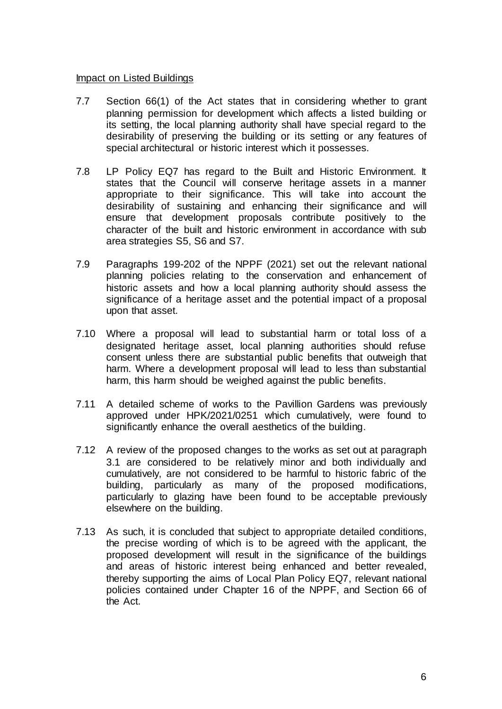#### Impact on Listed Buildings

- 7.7 Section 66(1) of the Act states that in considering whether to grant planning permission for development which affects a listed building or its setting, the local planning authority shall have special regard to the desirability of preserving the building or its setting or any features of special architectural or historic interest which it possesses.
- 7.8 LP Policy EQ7 has regard to the Built and Historic Environment. It states that the Council will conserve heritage assets in a manner appropriate to their significance. This will take into account the desirability of sustaining and enhancing their significance and will ensure that development proposals contribute positively to the character of the built and historic environment in accordance with sub area strategies S5, S6 and S7.
- 7.9 Paragraphs 199-202 of the NPPF (2021) set out the relevant national planning policies relating to the conservation and enhancement of historic assets and how a local planning authority should assess the significance of a heritage asset and the potential impact of a proposal upon that asset.
- 7.10 Where a proposal will lead to substantial harm or total loss of a designated heritage asset, local planning authorities should refuse consent unless there are substantial public benefits that outweigh that harm. Where a development proposal will lead to less than substantial harm, this harm should be weighed against the public benefits.
- 7.11 A detailed scheme of works to the Pavillion Gardens was previously approved under HPK/2021/0251 which cumulatively, were found to significantly enhance the overall aesthetics of the building.
- 7.12 A review of the proposed changes to the works as set out at paragraph 3.1 are considered to be relatively minor and both individually and cumulatively, are not considered to be harmful to historic fabric of the building, particularly as many of the proposed modifications, particularly to glazing have been found to be acceptable previously elsewhere on the building.
- 7.13 As such, it is concluded that subject to appropriate detailed conditions, the precise wording of which is to be agreed with the applicant, the proposed development will result in the significance of the buildings and areas of historic interest being enhanced and better revealed, thereby supporting the aims of Local Plan Policy EQ7, relevant national policies contained under Chapter 16 of the NPPF, and Section 66 of the Act.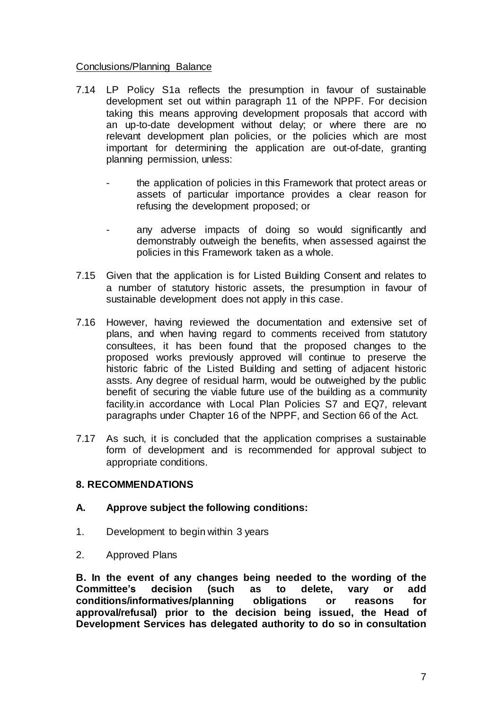#### Conclusions/Planning Balance

- 7.14 LP Policy S1a reflects the presumption in favour of sustainable development set out within paragraph 11 of the NPPF. For decision taking this means approving development proposals that accord with an up-to-date development without delay; or where there are no relevant development plan policies, or the policies which are most important for determining the application are out-of-date, granting planning permission, unless:
	- the application of policies in this Framework that protect areas or assets of particular importance provides a clear reason for refusing the development proposed; or
	- any adverse impacts of doing so would significantly and demonstrably outweigh the benefits, when assessed against the policies in this Framework taken as a whole.
- 7.15 Given that the application is for Listed Building Consent and relates to a number of statutory historic assets, the presumption in favour of sustainable development does not apply in this case.
- 7.16 However, having reviewed the documentation and extensive set of plans, and when having regard to comments received from statutory consultees, it has been found that the proposed changes to the proposed works previously approved will continue to preserve the historic fabric of the Listed Building and setting of adjacent historic assts. Any degree of residual harm, would be outweighed by the public benefit of securing the viable future use of the building as a community facility.in accordance with Local Plan Policies S7 and EQ7, relevant paragraphs under Chapter 16 of the NPPF, and Section 66 of the Act.
- 7.17 As such, it is concluded that the application comprises a sustainable form of development and is recommended for approval subject to appropriate conditions.

### **8. RECOMMENDATIONS**

#### **A. Approve subject the following conditions:**

- 1. Development to begin within 3 years
- 2. Approved Plans

**B. In the event of any changes being needed to the wording of the Committee's decision (such as to delete, vary or add conditions/informatives/planning obligations or reasons for approval/refusal) prior to the decision being issued, the Head of Development Services has delegated authority to do so in consultation**